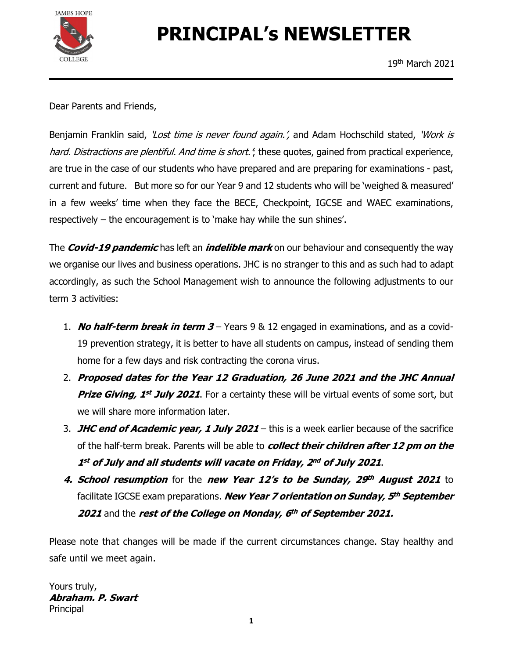

# PRINCIPAL's NEWSLETTER

19th March 2021

Dear Parents and Friends,

Benjamin Franklin said, 'Lost time is never found again.', and Adam Hochschild stated, 'Work is hard. Distractions are plentiful. And time is short.', these quotes, gained from practical experience, are true in the case of our students who have prepared and are preparing for examinations - past, current and future. But more so for our Year 9 and 12 students who will be 'weighed & measured' in a few weeks' time when they face the BECE, Checkpoint, IGCSE and WAEC examinations, respectively – the encouragement is to 'make hay while the sun shines'.

The Covid-19 pandemic has left an *indelible mark* on our behaviour and consequently the way we organise our lives and business operations. JHC is no stranger to this and as such had to adapt accordingly, as such the School Management wish to announce the following adjustments to our term 3 activities:

- 1. **No half-term break in term 3** Years 9 & 12 engaged in examinations, and as a covid-19 prevention strategy, it is better to have all students on campus, instead of sending them home for a few days and risk contracting the corona virus.
- 2. Proposed dates for the Year 12 Graduation, 26 June 2021 and the JHC Annual **Prize Giving, 1st July 2021.** For a certainty these will be virtual events of some sort, but we will share more information later.
- 3. JHC end of Academic year, 1 July  $2021$  this is a week earlier because of the sacrifice of the half-term break. Parents will be able to collect their children after 12 pm on the 1st of July and all students will vacate on Friday, 2nd of July 2021.
- 4. School resumption for the new Year 12's to be Sunday, 29th August 2021 to facilitate IGCSE exam preparations. New Year 7 orientation on Sunday, 5<sup>th</sup> September 2021 and the rest of the College on Monday,  $6<sup>th</sup>$  of September 2021.

Please note that changes will be made if the current circumstances change. Stay healthy and safe until we meet again.

Yours truly, Abraham. P. Swart Principal